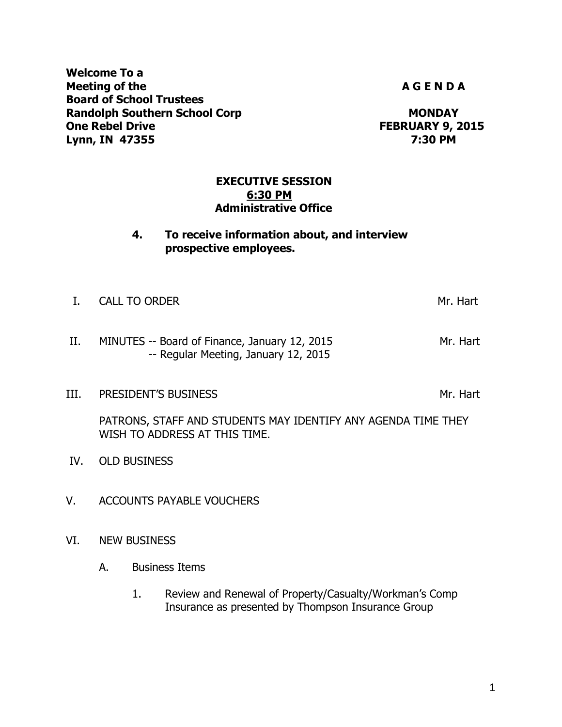**Welcome To a Meeting of the A G E N D A Board of School Trustees Randolph Southern School Corp MONDAY One Rebel Drive FEBRUARY 9, 2015 Lynn, IN 47355 7:30 PM**

# **EXECUTIVE SESSION 6:30 PM Administrative Office**

# **4. To receive information about, and interview prospective employees.**

| I. CALL TO ORDER | Mr. Hart |
|------------------|----------|
|                  |          |
|                  |          |

# II. MINUTES -- Board of Finance, January 12, 2015 Mr. Hart -- Regular Meeting, January 12, 2015

III. PRESIDENT'S BUSINESS Manual Control of the Mr. Hart

PATRONS, STAFF AND STUDENTS MAY IDENTIFY ANY AGENDA TIME THEY WISH TO ADDRESS AT THIS TIME.

- IV. OLD BUSINESS
- V. ACCOUNTS PAYABLE VOUCHERS
- VI. NEW BUSINESS
	- A. Business Items
		- 1. Review and Renewal of Property/Casualty/Workman's Comp Insurance as presented by Thompson Insurance Group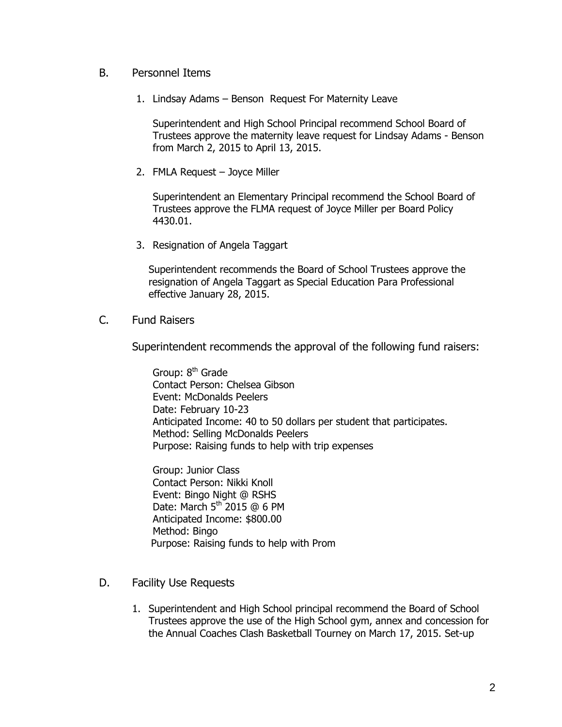## B. Personnel Items

1. Lindsay Adams – Benson Request For Maternity Leave

Superintendent and High School Principal recommend School Board of Trustees approve the maternity leave request for Lindsay Adams - Benson from March 2, 2015 to April 13, 2015.

2. FMLA Request – Joyce Miller

Superintendent an Elementary Principal recommend the School Board of Trustees approve the FLMA request of Joyce Miller per Board Policy 4430.01.

3. Resignation of Angela Taggart

Superintendent recommends the Board of School Trustees approve the resignation of Angela Taggart as Special Education Para Professional effective January 28, 2015.

C. Fund Raisers

Superintendent recommends the approval of the following fund raisers:

Group:  $8<sup>th</sup>$  Grade Contact Person: Chelsea Gibson Event: McDonalds Peelers Date: February 10-23 Anticipated Income: 40 to 50 dollars per student that participates. Method: Selling McDonalds Peelers Purpose: Raising funds to help with trip expenses

Group: Junior Class Contact Person: Nikki Knoll Event: Bingo Night @ RSHS Date: March 5<sup>th</sup> 2015 @ 6 PM Anticipated Income: \$800.00 Method: Bingo Purpose: Raising funds to help with Prom

- D. Facility Use Requests
	- 1. Superintendent and High School principal recommend the Board of School Trustees approve the use of the High School gym, annex and concession for the Annual Coaches Clash Basketball Tourney on March 17, 2015. Set-up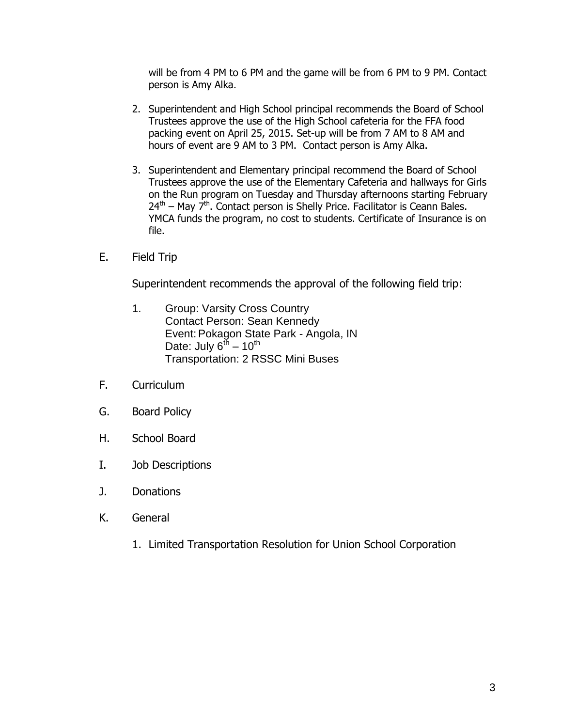will be from 4 PM to 6 PM and the game will be from 6 PM to 9 PM. Contact person is Amy Alka.

- 2. Superintendent and High School principal recommends the Board of School Trustees approve the use of the High School cafeteria for the FFA food packing event on April 25, 2015. Set-up will be from 7 AM to 8 AM and hours of event are 9 AM to 3 PM. Contact person is Amy Alka.
- 3. Superintendent and Elementary principal recommend the Board of School Trustees approve the use of the Elementary Cafeteria and hallways for Girls on the Run program on Tuesday and Thursday afternoons starting February  $24<sup>th</sup>$  – May 7<sup>th</sup>. Contact person is Shelly Price. Facilitator is Ceann Bales. YMCA funds the program, no cost to students. Certificate of Insurance is on file.
- E. Field Trip

Superintendent recommends the approval of the following field trip:

- 1. Group: Varsity Cross Country Contact Person: Sean Kennedy Event: Pokagon State Park - Angola, IN Date: July 6<sup>th</sup> – 10<sup>th</sup> Transportation: 2 RSSC Mini Buses
- F. Curriculum
- G. Board Policy
- H. School Board
- I. Job Descriptions
- J. Donations
- K. General
	- 1. Limited Transportation Resolution for Union School Corporation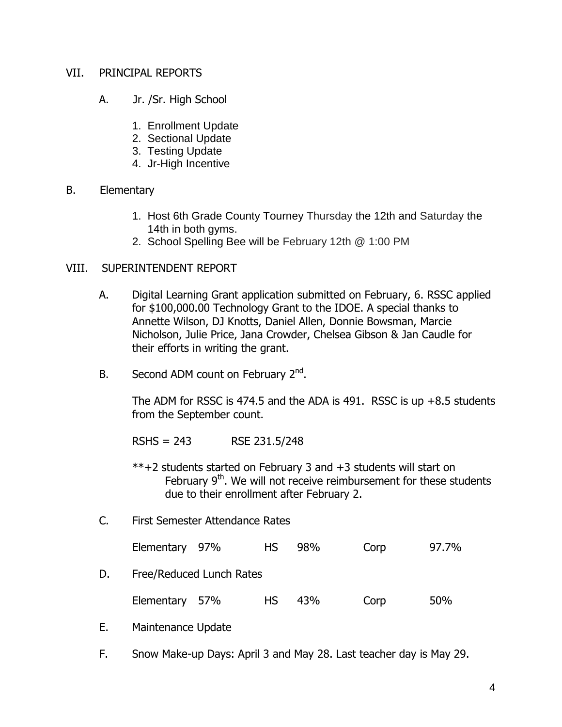## VII. PRINCIPAL REPORTS

- A. Jr. /Sr. High School
	- 1. Enrollment Update
	- 2. Sectional Update
	- 3. Testing Update
	- 4. Jr-High Incentive

#### B. Elementary

- 1. Host 6th Grade County Tourney Thursday the 12th and Saturday the 14th in both gyms.
- 2. School Spelling Bee will be February 12th @ 1:00 PM

#### VIII. SUPERINTENDENT REPORT

- A. Digital Learning Grant application submitted on February, 6. RSSC applied for \$100,000.00 Technology Grant to the IDOE. A special thanks to Annette Wilson, DJ Knotts, Daniel Allen, Donnie Bowsman, Marcie Nicholson, Julie Price, Jana Crowder, Chelsea Gibson & Jan Caudle for their efforts in writing the grant.
- B. Second ADM count on February  $2<sup>nd</sup>$ .

The ADM for RSSC is 474.5 and the ADA is 491. RSSC is up  $+8.5$  students from the September count.

RSHS = 243 RSE 231.5/248

- \*\*+2 students started on February 3 and +3 students will start on February  $9<sup>th</sup>$ . We will not receive reimbursement for these students due to their enrollment after February 2.
- C. First Semester Attendance Rates

| Elementary 97% |  |  | HS 98% | Corp | 97.7% |
|----------------|--|--|--------|------|-------|
|----------------|--|--|--------|------|-------|

D. Free/Reduced Lunch Rates

| Elementary 57% |  |  | HS 43% | Corp | 50% |
|----------------|--|--|--------|------|-----|
|----------------|--|--|--------|------|-----|

- E. Maintenance Update
- F. Snow Make-up Days: April 3 and May 28. Last teacher day is May 29.